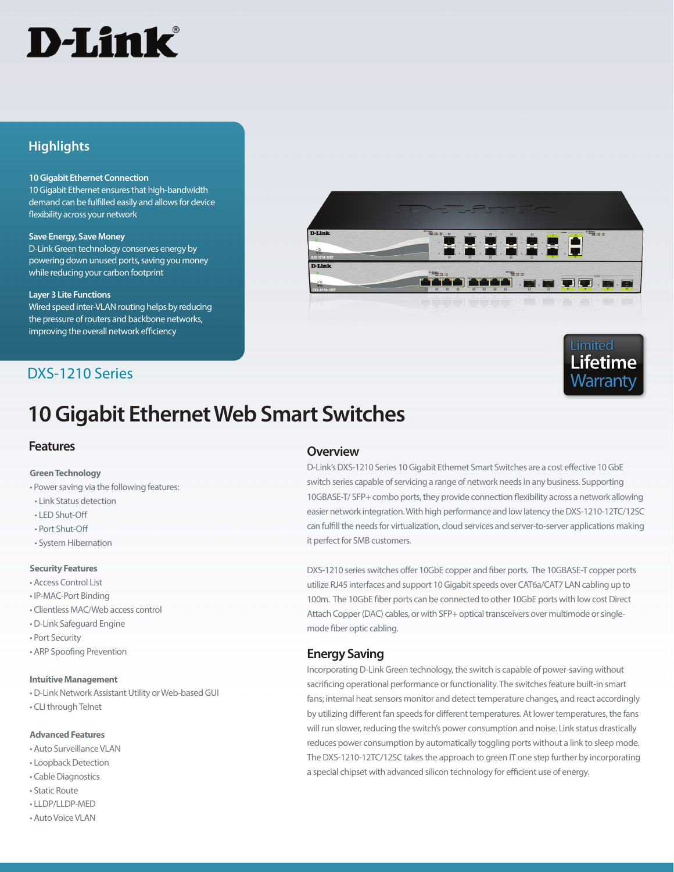# D-Link<sup>®</sup>

## **Highlights**

#### **10 Gigabit Ethernet Connection**

10 Gigabit Ethernet ensures that high-bandwidth demand can be fulfilled easily and allows for device flexibility across your network

#### **Save Energy, Save Money**

D-Link Green technology conserves energy by powering down unused ports, saving you money while reducing your carbon footprint

#### **Layer 3 Lite Functions**

Wired speed inter-VLAN routing helps by reducing the pressure of routers and backbone networks, improving the overall network efficiency

## DXS-1210 Series

# **10 Gigabit Ethernet Web Smart Switches**

### **Features**

### **Green Technology**

• Power saving via the following features:

- Link Status detection
- LED Shut-Off
- Port Shut-Off
- System Hibernation

### **Security Features**

- Access Control List
- IP-MAC-Port Binding
- Clientless MAC/Web access control
- D-Link Safeguard Engine
- Port Security
- ARP Spoofing Prevention

### **Intuitive Management**

- D-Link Network Assistant Utility or Web-based GUI
- CLI through Telnet

### **Advanced Features**

- Auto Surveillance VLAN
- Loopback Detection
- Cable Diagnostics
- Static Route
- LLDP/LLDP-MED
- Auto Voice VLAN

## **Overview**

D-Link's DXS-1210 Series 10 Gigabit Ethernet Smart Switches are a cost effective 10 GbE switch series capable of servicing a range of network needs in any business. Supporting 10GBASE-T/ SFP+ combo ports, they provide connection flexibility across a network allowing easier network integration. With high performance and low latency the DXS-1210-12TC/12SC can fulfill the needs for virtualization, cloud services and server-to-server applications making it perfect for SMB customers.

DXS-1210 series switches offer 10GbE copper and fiber ports. The 10GBASE-T copper ports utilize RJ45 interfaces and support 10 Gigabit speeds over CAT6a/CAT7 LAN cabling up to 100m. The 10GbE fiber ports can be connected to other 10GbE ports with low cost Direct Attach Copper (DAC) cables, or with SFP+ optical transceivers over multimode or singlemode fiber optic cabling.

## **Energy Saving**

Incorporating D-Link Green technology, the switch is capable of power-saving without sacrificing operational performance or functionality. The switches feature built-in smart fans; internal heat sensors monitor and detect temperature changes, and react accordingly by utilizing different fan speeds for different temperatures. At lower temperatures, the fans will run slower, reducing the switch's power consumption and noise. Link status drastically reduces power consumption by automatically toggling ports without a link to sleep mode. The DXS-1210-12TC/12SC takes the approach to green IT one step further by incorporating a special chipset with advanced silicon technology for efficient use of energy.



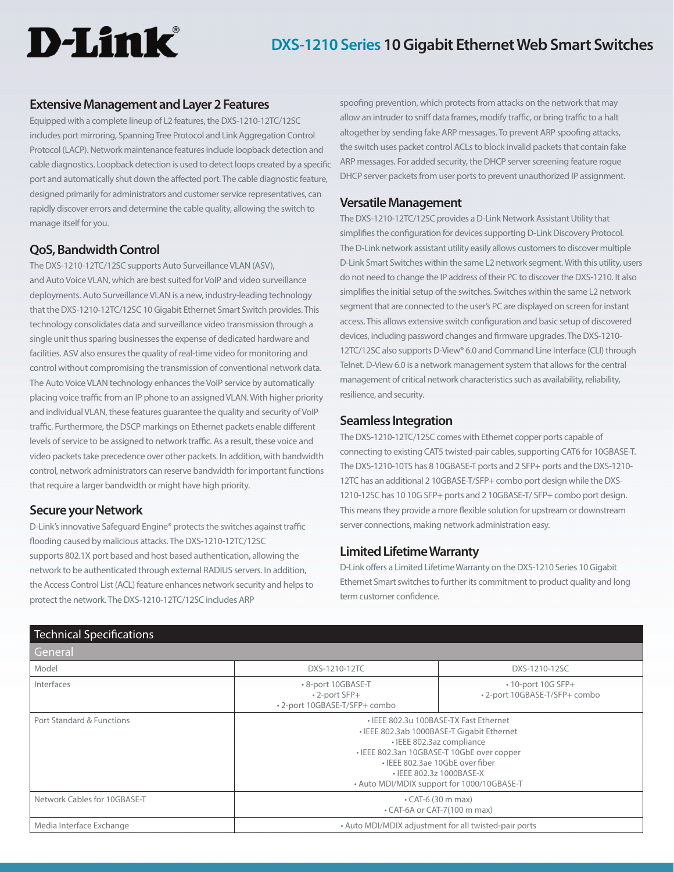# **D-Link**

## **Extensive Management and Layer 2 Features**

Equipped with a complete lineup of L2 features, the DXS-1210-12TC/12SC includes port mirroring, Spanning Tree Protocol and Link Aggregation Control Protocol (LACP). Network maintenance features include loopback detection and cable diagnostics. Loopback detection is used to detect loops created by a specific port and automatically shut down the affected port. The cable diagnostic feature, designed primarily for administrators and customer service representatives, can rapidly discover errors and determine the cable quality, allowing the switch to manage itself for you.

## **QoS, Bandwidth Control**

The DXS-1210-12TC/12SC supports Auto Surveillance VLAN (ASV), and Auto Voice VLAN, which are best suited for VoIP and video surveillance deployments. Auto Surveillance VLAN is a new, industry-leading technology that the DXS-1210-12TC/12SC 10 Gigabit Ethernet Smart Switch provides. This technology consolidates data and surveillance video transmission through a single unit thus sparing businesses the expense of dedicated hardware and facilities. ASV also ensures the quality of real-time video for monitoring and control without compromising the transmission of conventional network data. The Auto Voice VLAN technology enhances the VoIP service by automatically placing voice traffic from an IP phone to an assigned VLAN. With higher priority and individual VLAN, these features guarantee the quality and security of VoIP traffic. Furthermore, the DSCP markings on Ethernet packets enable different levels of service to be assigned to network traffic. As a result, these voice and video packets take precedence over other packets. In addition, with bandwidth control, network administrators can reserve bandwidth for important functions that require a larger bandwidth or might have high priority.

## **Secure your Network**

D-Link's innovative Safeguard Engine® protects the switches against traffic flooding caused by malicious attacks. The DXS-1210-12TC/12SC supports 802.1X port based and host based authentication, allowing the network to be authenticated through external RADIUS servers. In addition, the Access Control List (ACL) feature enhances network security and helps to protect the network. The DXS-1210-12TC/12SC includes ARP

spoofing prevention, which protects from attacks on the network that may allow an intruder to sniff data frames, modify traffic, or bring traffic to a halt altogether by sending fake ARP messages. To prevent ARP spoofing attacks, the switch uses packet control ACLs to block invalid packets that contain fake ARP messages. For added security, the DHCP server screening feature rogue DHCP server packets from user ports to prevent unauthorized IP assignment.

### **Versatile Management**

The DXS-1210-12TC/12SC provides a D-Link Network Assistant Utility that simplifies the configuration for devices supporting D-Link Discovery Protocol. The D-Link network assistant utility easily allows customers to discover multiple D-Link Smart Switches within the same L2 network segment. With this utility, users do not need to change the IP address of their PC to discover the DXS-1210. It also simplifies the initial setup of the switches. Switches within the same L2 network segment that are connected to the user's PC are displayed on screen for instant access. This allows extensive switch configuration and basic setup of discovered devices, including password changes and firmware upgrades. The DXS-1210- 12TC/12SC also supports D-View® 6.0 and Command Line Interface (CLI) through Telnet. D-View 6.0 is a network management system that allows for the central management of critical network characteristics such as availability, reliability, resilience, and security.

### **Seamless Integration**

The DXS-1210-12TC/12SC comes with Ethernet copper ports capable of connecting to existing CAT5 twisted-pair cables, supporting CAT6 for 10GBASE-T. The DXS-1210-10TS has 8 10GBASE-T ports and 2 SFP+ ports and the DXS-1210- 12TC has an additional 2 10GBASE-T/SFP+ combo port design while the DXS-1210-12SC has 10 10G SFP+ ports and 2 10GBASE-T/ SFP+ combo port design. This means they provide a more flexible solution for upstream or downstream server connections, making network administration easy.

## **Limited Lifetime Warranty**

D-Link offers a Limited Lifetime Warranty on the DXS-1210 Series 10 Gigabit Ethernet Smart switches to further its commitment to product quality and long term customer confidence.

| <b>Technical Specifications</b> |                                                                                                                                                                                                                                                                              |                                                           |
|---------------------------------|------------------------------------------------------------------------------------------------------------------------------------------------------------------------------------------------------------------------------------------------------------------------------|-----------------------------------------------------------|
| General                         |                                                                                                                                                                                                                                                                              |                                                           |
| Model                           | DXS-1210-12TC                                                                                                                                                                                                                                                                | DXS-1210-12SC                                             |
| Interfaces                      | • 8-port 10GBASE-T<br>• 2-port SFP+<br>• 2-port 10GBASE-T/SFP+ combo                                                                                                                                                                                                         | $\cdot$ 10-port 10G SFP+<br>• 2-port 10GBASE-T/SFP+ combo |
| Port Standard & Functions       | • IEEE 802.3u 100BASE-TX Fast Ethernet<br>• IEEE 802.3ab 1000BASE-T Gigabit Ethernet<br>• IEEE 802.3az compliance<br>• IEEE 802.3an 10GBASE-T 10GbE over copper<br>• IEEE 802.3ae 10GbE over fiber<br>• IEEE 802.3z 1000BASE-X<br>• Auto MDI/MDIX support for 1000/10GBASE-T |                                                           |
| Network Cables for 10GBASE-T    | $\cdot$ CAT-6 (30 m max)<br>• CAT-6A or CAT-7(100 m max)                                                                                                                                                                                                                     |                                                           |
| Media Interface Exchange        | • Auto MDI/MDIX adjustment for all twisted-pair ports                                                                                                                                                                                                                        |                                                           |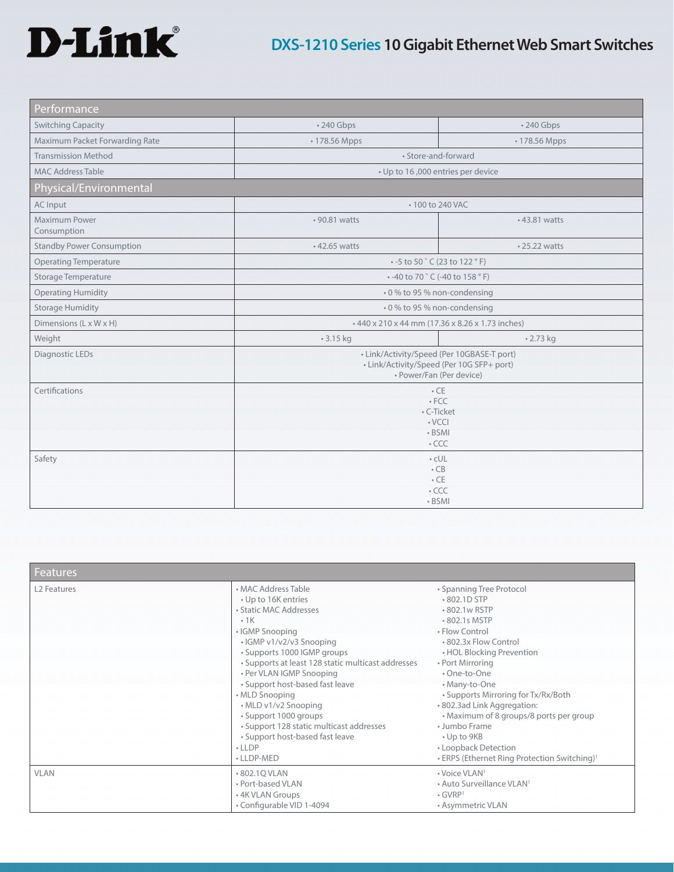# D-Link®

# **DXS-1210 Series 10 Gigabit Ethernet Web Smart Switches**

| Performance                      |                                                                                                                     |                  |
|----------------------------------|---------------------------------------------------------------------------------------------------------------------|------------------|
| <b>Switching Capacity</b>        | • 240 Gbps                                                                                                          | $\cdot$ 240 Gbps |
| Maximum Packet Forwarding Rate   | • 178.56 Mpps                                                                                                       | • 178.56 Mpps    |
| <b>Transmission Method</b>       | • Store-and-forward                                                                                                 |                  |
| <b>MAC Address Table</b>         | • Up to 16,000 entries per device                                                                                   |                  |
| Physical/Environmental           |                                                                                                                     |                  |
| AC Input                         | • 100 to 240 VAC                                                                                                    |                  |
| Maximum Power<br>Consumption     | • 90.81 watts                                                                                                       | • 43.81 watts    |
| <b>Standby Power Consumption</b> | • 42.65 watts                                                                                                       | • 25.22 watts    |
| <b>Operating Temperature</b>     | $\cdot$ -5 to 50 $\degree$ C (23 to 122 $\degree$ F)                                                                |                  |
| Storage Temperature              | • -40 to 70 °C (-40 to 158 °F)                                                                                      |                  |
| <b>Operating Humidity</b>        | . 0 % to 95 % non-condensing                                                                                        |                  |
| <b>Storage Humidity</b>          | . 0 % to 95 % non-condensing                                                                                        |                  |
| Dimensions (L x W x H)           | +440 x 210 x 44 mm (17.36 x 8.26 x 1.73 inches)                                                                     |                  |
| Weight                           | $-3.15$ kg                                                                                                          | $-2.73$ kg       |
| Diagnostic LEDs                  | • Link/Activity/Speed (Per 10GBASE-T port)<br>• Link/Activity/Speed (Per 10G SFP+ port)<br>· Power/Fan (Per device) |                  |
| Certifications                   | $\cdot$ CE<br>$\cdot$ FCC<br>· C-Ticket<br>$\cdot$ VCCI<br>• BSMI<br>$\cdot$ CCC                                    |                  |
| Safety                           | $\cdot$ cUL<br>$\cdot$ CB<br>$\cdot$ CE<br>$\cdot$ CCC<br>• BSMI                                                    |                  |

| <b>Features</b>         |                                                                                                                                                                                                                                                                                                                                                                                                                                                                  |                                                                                                                                                                                                                                                                                                                                                                                                                                                |
|-------------------------|------------------------------------------------------------------------------------------------------------------------------------------------------------------------------------------------------------------------------------------------------------------------------------------------------------------------------------------------------------------------------------------------------------------------------------------------------------------|------------------------------------------------------------------------------------------------------------------------------------------------------------------------------------------------------------------------------------------------------------------------------------------------------------------------------------------------------------------------------------------------------------------------------------------------|
| L <sub>2</sub> Features | • MAC Address Table<br>• Up to 16K entries<br>• Static MAC Addresses<br>$-1K$<br>• IGMP Snooping<br>• IGMP v1/v2/v3 Snooping<br>• Supports 1000 IGMP groups<br>• Supports at least 128 static multicast addresses<br>• Per VLAN IGMP Snooping<br>• Support host-based fast leave<br>• MLD Snooping<br>• MLD v1/v2 Snooping<br>· Support 1000 groups<br>• Support 128 static multicast addresses<br>• Support host-based fast leave<br>$\cdot$ LLDP<br>• LLDP-MED | • Spanning Tree Protocol<br>•802.1D STP<br>•802.1w RSTP<br>• 802.1s MSTP<br>• Flow Control<br>.802.3x Flow Control<br>• HOL Blocking Prevention<br>• Port Mirroring<br>• One-to-One<br>• Many-to-One<br>• Supports Mirroring for Tx/Rx/Both<br>.802.3ad Link Aggregation:<br>• Maximum of 8 groups/8 ports per group<br>• Jumbo Frame<br>$\cdot$ Up to 9KB<br>• Loopback Detection<br>• ERPS (Ethernet Ring Protection Switching) <sup>1</sup> |
| <b>VLAN</b>             | •802.10 VLAN<br>• Port-based VLAN<br>• 4K VLAN Groups<br>• Configurable VID 1-4094                                                                                                                                                                                                                                                                                                                                                                               | • Voice VLAN <sup>1</sup><br>• Auto Surveillance VLAN <sup>1</sup><br>$\cdot$ GVRP <sup>1</sup><br>• Asymmetric VLAN                                                                                                                                                                                                                                                                                                                           |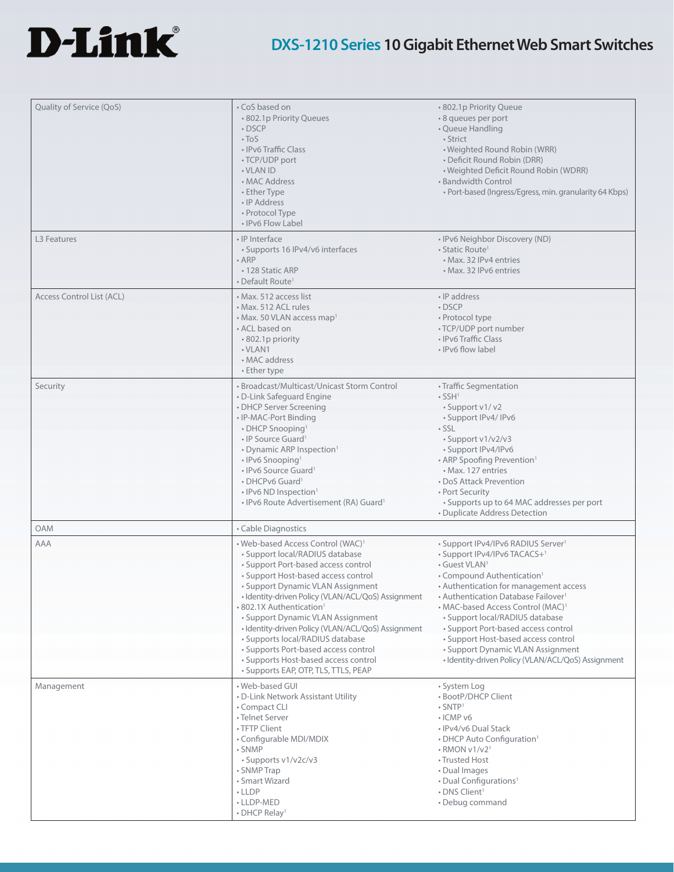

# **DXS-1210 Series 10 Gigabit Ethernet Web Smart Switches**

| Quality of Service (QoS)  | • CoS based on<br>• 802.1p Priority Queues<br>$\cdot$ DSCP<br>$\cdot$ ToS<br>• IPv6 Traffic Class<br>• TCP/UDP port<br>• VLAN ID<br>• MAC Address<br>• Ether Type<br>• IP Address<br>• Protocol Type<br>• IPv6 Flow Label                                                                                                                                                                                                                                                                                                                                | • 802.1p Priority Queue<br>* 8 queues per port<br>• Queue Handling<br>· Strict<br>• Weighted Round Robin (WRR)<br>• Deficit Round Robin (DRR)<br>• Weighted Deficit Round Robin (WDRR)<br>· Bandwidth Control<br>• Port-based (Ingress/Egress, min. granularity 64 Kbps)                                                                                                                                                                                                                                                    |
|---------------------------|----------------------------------------------------------------------------------------------------------------------------------------------------------------------------------------------------------------------------------------------------------------------------------------------------------------------------------------------------------------------------------------------------------------------------------------------------------------------------------------------------------------------------------------------------------|-----------------------------------------------------------------------------------------------------------------------------------------------------------------------------------------------------------------------------------------------------------------------------------------------------------------------------------------------------------------------------------------------------------------------------------------------------------------------------------------------------------------------------|
| L <sub>3</sub> Features   | • IP Interface<br>• Supports 16 IPv4/v6 interfaces<br>$-$ ARP<br>• 128 Static ARP<br>• Default Route <sup>1</sup>                                                                                                                                                                                                                                                                                                                                                                                                                                        | . IPv6 Neighbor Discovery (ND)<br>• Static Route <sup>1</sup><br>• Max. 32 IPv4 entries<br>• Max. 32 IPv6 entries                                                                                                                                                                                                                                                                                                                                                                                                           |
| Access Control List (ACL) | • Max. 512 access list<br>• Max. 512 ACL rules<br>• Max. 50 VLAN access map <sup>1</sup><br>• ACL based on<br>• 802.1p priority<br>• VLAN1<br>• MAC address<br>• Ether type                                                                                                                                                                                                                                                                                                                                                                              | · IP address<br>$\cdot$ DSCP<br>• Protocol type<br>• TCP/UDP port number<br>• IPv6 Traffic Class<br>• IPv6 flow label                                                                                                                                                                                                                                                                                                                                                                                                       |
| Security                  | • Broadcast/Multicast/Unicast Storm Control<br>• D-Link Safeguard Engine<br>• DHCP Server Screening<br>• IP-MAC-Port Binding<br>• DHCP Snooping <sup>1</sup><br>$\cdot$ IP Source Guard <sup>1</sup><br>• Dynamic ARP Inspection <sup>1</sup><br>• IPv6 Snooping <sup>1</sup><br>• IPv6 Source Guard <sup>1</sup><br>• DHCPv6 Guard <sup>1</sup><br>• IPv6 ND Inspection <sup>1</sup><br>• IPv6 Route Advertisement (RA) Guard <sup>1</sup>                                                                                                              | • Traffic Segmentation<br>$\cdot$ SSH <sup>1</sup><br>• Support v1/v2<br>· Support IPv4/ IPv6<br>$\cdot$ SSL<br>· Support v1/v2/v3<br>· Support IPv4/IPv6<br>• ARP Spoofing Prevention <sup>1</sup><br>• Max. 127 entries<br>• DoS Attack Prevention<br>• Port Security<br>• Supports up to 64 MAC addresses per port<br>• Duplicate Address Detection                                                                                                                                                                      |
| <b>OAM</b>                | • Cable Diagnostics                                                                                                                                                                                                                                                                                                                                                                                                                                                                                                                                      |                                                                                                                                                                                                                                                                                                                                                                                                                                                                                                                             |
| <b>AAA</b>                | • Web-based Access Control (WAC) <sup>1</sup><br>• Support local/RADIUS database<br>• Support Port-based access control<br>• Support Host-based access control<br>• Support Dynamic VLAN Assignment<br>· Identity-driven Policy (VLAN/ACL/QoS) Assignment<br>• 802.1X Authentication <sup>1</sup><br>• Support Dynamic VLAN Assignment<br>• Identity-driven Policy (VLAN/ACL/QoS) Assignment<br>• Supports local/RADIUS database<br>• Supports Port-based access control<br>• Supports Host-based access control<br>• Supports EAP, OTP, TLS, TTLS, PEAP | • Support IPv4/IPv6 RADIUS Server <sup>1</sup><br>• Support IPv4/IPv6 TACACS+ <sup>1</sup><br>• Guest VLAN <sup>1</sup><br>• Compound Authentication <sup>1</sup><br>• Authentication for management access<br>• Authentication Database Failover <sup>1</sup><br>• MAC-based Access Control (MAC) <sup>1</sup><br>• Support local/RADIUS database<br>• Support Port-based access control<br>• Support Host-based access control<br>• Support Dynamic VLAN Assignment<br>· Identity-driven Policy (VLAN/ACL/QoS) Assignment |
| Management                | • Web-based GUI<br>• D-Link Network Assistant Utility<br>• Compact CLI<br>• Telnet Server<br>• TFTP Client<br>• Configurable MDI/MDIX<br>• SNMP<br>• Supports v1/v2c/v3<br>• SNMP Trap<br>• Smart Wizard<br>• LLDP<br>• LLDP-MED<br>• DHCP Relay <sup>1</sup>                                                                                                                                                                                                                                                                                            | • System Log<br>• BootP/DHCP Client<br>$\cdot$ SNTP <sup>1</sup><br>• ICMP v6<br>• IPv4/v6 Dual Stack<br>• DHCP Auto Configuration <sup>1</sup><br>$\cdot$ RMON v1/v2 <sup>1</sup><br>• Trusted Host<br>• Dual Images<br>• Dual Configurations <sup>1</sup><br>• DNS Client <sup>1</sup><br>• Debug command                                                                                                                                                                                                                 |